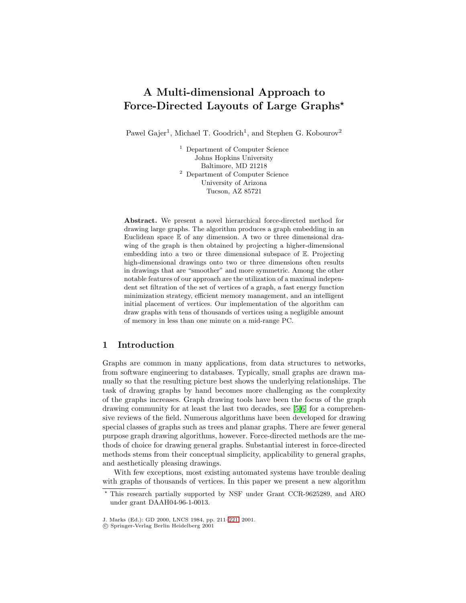# **A Multi-dimensional Approach to Force-Directed Layouts of Large Graphs***?*

Pawel Gajer<sup>1</sup>, Michael T. Goodrich<sup>1</sup>, and Stephen G. Kobourov<sup>2</sup>

<sup>1</sup> Department of Computer Science Johns Hopkins University Baltimore, MD 21218 <sup>2</sup> Department of Computer Science University of Arizona Tucson, AZ 85721

**Abstract.** We present a novel hierarchical force-directed method for drawing large graphs. The algorithm produces a graph embedding in an Euclidean space E of any dimension. A two or three dimensional drawing of the graph is then obtained by projecting a higher-dimensional embedding into a two or three dimensional subspace of E. Projecting high-dimensional drawings onto two or three dimensions often results in drawings that are "smoother" and more symmetric. Among the other notable features of our approach are the utilization of a maximal independent set filtration of the set of vertices of a graph, a fast energy function minimization strategy, efficient memory management, and an intelligent initial placement of vertices. Our implementation of the algorithm can draw graphs with tens of thousands of vertices using a negligible amount of memory in less than one minute on a mid-range PC.

# **1 Introduction**

Graphs are common in many applications, from data structures to networks, from software engineering to databases. Typically, small graphs are drawn manually so that the resulting picture best shows the underlying relationships. The task of drawing graphs by hand becomes more challenging as the complexity of the graphs increases. Graph drawing tools have been the focus of the graph drawing community for at least the last two decades, see [\[5,6\]](#page-10-0) for a comprehensive reviews of the field. Numerous algorithms have been developed for drawing special classes of graphs such as trees and planar graphs. There are fewer general purpose graph drawing algorithms, however. Force-directed methods are the methods of choice for drawing general graphs. Substantial interest in force-directed methods stems from their conceptual simplicity, applicability to general graphs, and aesthetically pleasing drawings.

With few exceptions, most existing automated systems have trouble dealing with graphs of thousands of vertices. In this paper we present a new algorithm

<sup>?</sup> This research partially supported by NSF under Grant CCR-9625289, and ARO under grant DAAH04-96-1-0013.

J. Marks (Ed.): GD 2000, LNCS 1984, pp. 211[–221,](#page-10-0) 2001.

c Springer-Verlag Berlin Heidelberg 2001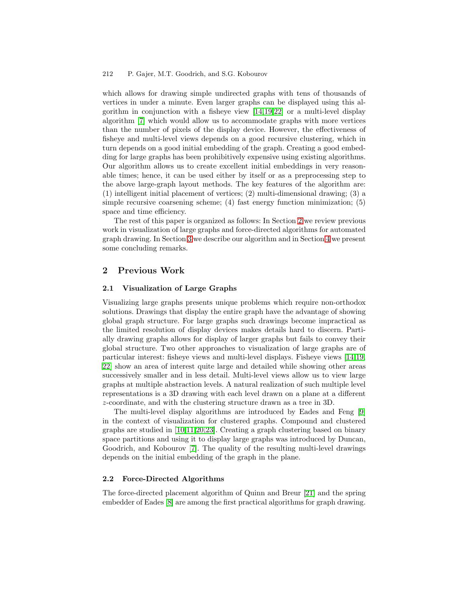which allows for drawing simple undirected graphs with tens of thousands of vertices in under a minute. Even larger graphs can be displayed using this algorithm in conjunction with a fisheye view [\[14,19,22\]](#page-10-0) or a multi-level display algorithm [\[7\]](#page-10-0) which would allow us to accommodate graphs with more vertices than the number of pixels of the display device. However, the effectiveness of fisheye and multi-level views depends on a good recursive clustering, which in turn depends on a good initial embedding of the graph. Creating a good embedding for large graphs has been prohibitively expensive using existing algorithms. Our algorithm allows us to create excellent initial embeddings in very reasonable times; hence, it can be used either by itself or as a preprocessing step to the above large-graph layout methods. The key features of the algorithm are: (1) intelligent initial placement of vertices; (2) multi-dimensional drawing; (3) a simple recursive coarsening scheme; (4) fast energy function minimization; (5) space and time efficiency.

The rest of this paper is organized as follows: In Section 2 we review previous work in visualization of large graphs and force-directed algorithms for automated graph drawing. In Section [3](#page-2-0) we describe our algorithm and in Section [4](#page-9-0) we present some concluding remarks.

## **2 Previous Work**

#### **2.1 Visualization of Large Graphs**

Visualizing large graphs presents unique problems which require non-orthodox solutions. Drawings that display the entire graph have the advantage of showing global graph structure. For large graphs such drawings become impractical as the limited resolution of display devices makes details hard to discern. Partially drawing graphs allows for display of larger graphs but fails to convey their global structure. Two other approaches to visualization of large graphs are of particular interest: fisheye views and multi-level displays. Fisheye views [\[14,19,](#page-10-0) [22\]](#page-10-0) show an area of interest quite large and detailed while showing other areas successively smaller and in less detail. Multi-level views allow us to view large graphs at multiple abstraction levels. A natural realization of such multiple level representations is a 3D drawing with each level drawn on a plane at a different z-coordinate, and with the clustering structure drawn as a tree in 3D.

The multi-level display algorithms are introduced by Eades and Feng [\[9\]](#page-10-0) in the context of visualization for clustered graphs. Compound and clustered graphs are studied in [\[10,11,20,23\]](#page-10-0). Creating a graph clustering based on binary space partitions and using it to display large graphs was introduced by Duncan, Goodrich, and Kobourov [\[7\]](#page-10-0). The quality of the resulting multi-level drawings depends on the initial embedding of the graph in the plane.

### **2.2 Force-Directed Algorithms**

The force-directed placement algorithm of Quinn and Breur [\[21\]](#page-10-0) and the spring embedder of Eades [\[8\]](#page-10-0) are among the first practical algorithms for graph drawing.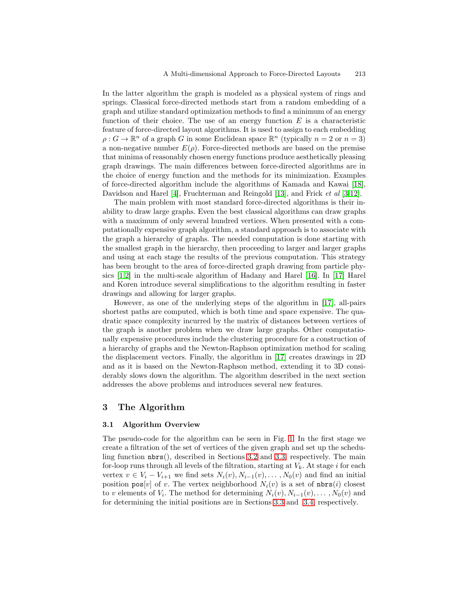<span id="page-2-0"></span>In the latter algorithm the graph is modeled as a physical system of rings and springs. Classical force-directed methods start from a random embedding of a graph and utilize standard optimization methods to find a minimum of an energy function of their choice. The use of an energy function  $E$  is a characteristic feature of force-directed layout algorithms. It is used to assign to each embedding  $\rho: G \to \mathbb{R}^n$  of a graph G in some Euclidean space  $\mathbb{R}^n$  (typically  $n = 2$  or  $n = 3$ ) a non-negative number  $E(\rho)$ . Force-directed methods are based on the premise that minima of reasonably chosen energy functions produce aesthetically pleasing graph drawings. The main differences between force-directed algorithms are in the choice of energy function and the methods for its minimization. Examples of force-directed algorithm include the algorithms of Kamada and Kawai [\[18\]](#page-10-0), Davidson and Harel [\[4\]](#page-10-0), Fruchterman and Reingold [\[13\]](#page-10-0), and Frick et al [\[3](#page-9-0)[,12\]](#page-10-0).

The main problem with most standard force-directed algorithms is their inability to draw large graphs. Even the best classical algorithms can draw graphs with a maximum of only several hundred vertices. When presented with a computationally expensive graph algorithm, a standard approach is to associate with the graph a hierarchy of graphs. The needed computation is done starting with the smallest graph in the hierarchy, then proceeding to larger and larger graphs and using at each stage the results of the previous computation. This strategy has been brought to the area of force-directed graph drawing from particle physics  $[1,2]$  in the multi-scale algorithm of Hadany and Harel  $[16]$ . In  $[17]$  Harel and Koren introduce several simplifications to the algorithm resulting in faster drawings and allowing for larger graphs.

However, as one of the underlying steps of the algorithm in [\[17\]](#page-10-0), all-pairs shortest paths are computed, which is both time and space expensive. The quadratic space complexity incurred by the matrix of distances between vertices of the graph is another problem when we draw large graphs. Other computationally expensive procedures include the clustering procedure for a construction of a hierarchy of graphs and the Newton-Raphson optimization method for scaling the displacement vectors. Finally, the algorithm in [\[17\]](#page-10-0) creates drawings in 2D and as it is based on the Newton-Raphson method, extending it to 3D considerably slows down the algorithm. The algorithm described in the next section addresses the above problems and introduces several new features.

## **3 The Algorithm**

#### **3.1 Algorithm Overview**

The pseudo-code for the algorithm can be seen in Fig. [1.](#page-3-0) In the first stage we create a filtration of the set of vertices of the given graph and set up the scheduling function  $nbrs()$ , described in Sections [3.2](#page-3-0) and [3.3,](#page-5-0) respectively. The main for-loop runs through all levels of the filtration, starting at  $V_k$ . At stage i for each vertex  $v \in V_i - V_{i+1}$  we find sets  $N_i(v), N_{i-1}(v), \ldots, N_0(v)$  and find an initial position  $pos[v]$  of v. The vertex neighborhood  $N_i(v)$  is a set of  $nbrs(i)$  closest to v elements of  $V_i$ . The method for determining  $N_i(v), N_{i-1}(v), \ldots, N_0(v)$  and for determining the initial positions are in Sections [3.3](#page-5-0) and [3.4,](#page-6-0) respectively.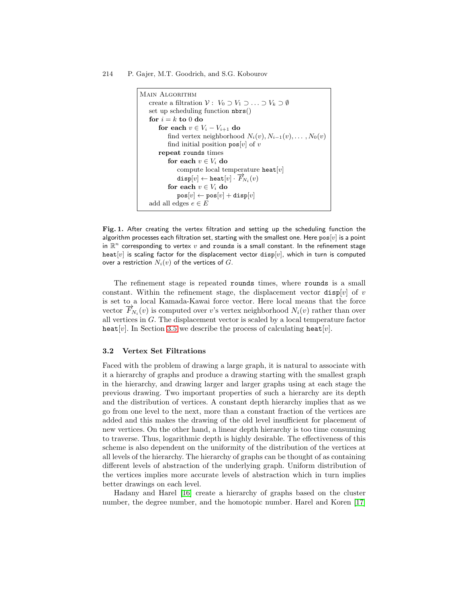```
Main Algorithm
create a filtration V: V_0 \supset V_1 \supset \ldots \supset V_k \supset \emptysetset up scheduling function nbrs()
for i = k to 0 do
    for each v \in V_i - V_{i+1} do
        find vertex neighborhood N_i(v), N_{i-1}(v), \ldots, N_0(v)find initial position pos[v] of v
    repeat rounds times
        for each v \in V_i do
            compute local temperature \texttt{heat}[v]\mathtt{disp}[v] \leftarrow \mathtt{heat}[v] \cdot \overrightarrow{F}_{N_i}(v)for each v \in V_i do
            pos[v] \leftarrow pos[v] + disp[v]add all edges e \in E
```
**Fig. 1.** After creating the vertex filtration and setting up the scheduling function the algorithm processes each filtration set, starting with the smallest one. Here  $pos[v]$  is a point in  $\mathbb{R}^n$  corresponding to vertex v and rounds is a small constant. In the refinement stage heat  $[v]$  is scaling factor for the displacement vector disp $[v]$ , which in turn is computed over a restriction  $N_i(v)$  of the vertices of  $G$ .

The refinement stage is repeated rounds times, where rounds is a small constant. Within the refinement stage, the displacement vector disp[v] of v is set to a local Kamada-Kawai force vector. Here local means that the force vector  $\overrightarrow{F}_{N_i}(v)$  is computed over v's vertex neighborhood  $N_i(v)$  rather than over all vertices in G. The displacement vector is scaled by a local temperature factor heat[v]. In Section [3.5](#page-8-0) we describe the process of calculating heat[v].

#### **3.2 Vertex Set Filtrations**

Faced with the problem of drawing a large graph, it is natural to associate with it a hierarchy of graphs and produce a drawing starting with the smallest graph in the hierarchy, and drawing larger and larger graphs using at each stage the previous drawing. Two important properties of such a hierarchy are its depth and the distribution of vertices. A constant depth hierarchy implies that as we go from one level to the next, more than a constant fraction of the vertices are added and this makes the drawing of the old level insufficient for placement of new vertices. On the other hand, a linear depth hierarchy is too time consuming to traverse. Thus, logarithmic depth is highly desirable. The effectiveness of this scheme is also dependent on the uniformity of the distribution of the vertices at all levels of the hierarchy. The hierarchy of graphs can be thought of as containing different levels of abstraction of the underlying graph. Uniform distribution of the vertices implies more accurate levels of abstraction which in turn implies better drawings on each level.

Hadany and Harel [\[16\]](#page-10-0) create a hierarchy of graphs based on the cluster number, the degree number, and the homotopic number. Harel and Koren [\[17\]](#page-10-0)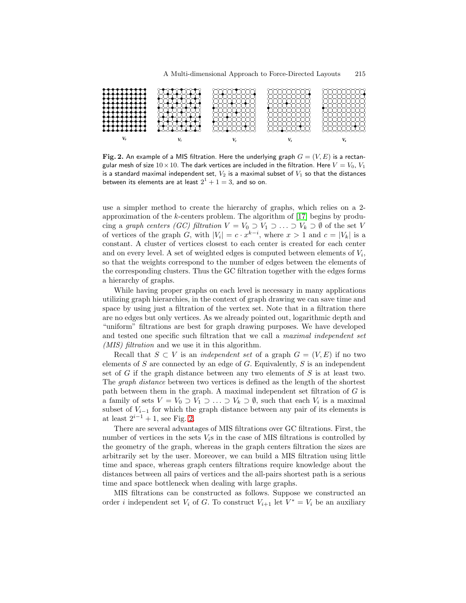<span id="page-4-0"></span>

**Fig. 2.** An example of a MIS filtration. Here the underlying graph  $G = (V, E)$  is a rectangular mesh of size  $10 \times 10$ . The dark vertices are included in the filtration. Here  $V = V_0$ ,  $V_1$ is a standard maximal independent set,  $V_2$  is a maximal subset of  $V_1$  so that the distances between its elements are at least  $2^1 + 1 = 3$ , and so on.

use a simpler method to create the hierarchy of graphs, which relies on a 2 approximation of the k-centers problem. The algorithm of [\[17\]](#page-10-0) begins by producing a graph centers (GC) filtration  $V = V_0 \supset V_1 \supset \ldots \supset V_k \supset \emptyset$  of the set V of vertices of the graph G, with  $|V_i| = c \cdot x^{k-i}$ , where  $x > 1$  and  $c = |V_k|$  is a constant. A cluster of vertices closest to each center is created for each center and on every level. A set of weighted edges is computed between elements of  $V_i$ , so that the weights correspond to the number of edges between the elements of the corresponding clusters. Thus the GC filtration together with the edges forms a hierarchy of graphs.

While having proper graphs on each level is necessary in many applications utilizing graph hierarchies, in the context of graph drawing we can save time and space by using just a filtration of the vertex set. Note that in a filtration there are no edges but only vertices. As we already pointed out, logarithmic depth and "uniform" filtrations are best for graph drawing purposes. We have developed and tested one specific such filtration that we call a maximal independent set (*MIS*) filtration and we use it in this algorithm.

Recall that  $S \subset V$  is an *independent set* of a graph  $G = (V, E)$  if no two elements of  $S$  are connected by an edge of  $G$ . Equivalently,  $S$  is an independent set of G if the graph distance between any two elements of S is at least two. The graph distance between two vertices is defined as the length of the shortest path between them in the graph. A maximal independent set filtration of G is a family of sets  $V = V_0 \supset V_1 \supset \ldots \supset V_k \supset \emptyset$ , such that each  $V_i$  is a maximal subset of  $V_{i-1}$  for which the graph distance between any pair of its elements is at least  $2^{i-1} + 1$ , see Fig. 2.

There are several advantages of MIS filtrations over GC filtrations. First, the number of vertices in the sets  $V_i$ s in the case of MIS filtrations is controlled by the geometry of the graph, whereas in the graph centers filtration the sizes are arbitrarily set by the user. Moreover, we can build a MIS filtration using little time and space, whereas graph centers filtrations require knowledge about the distances between all pairs of vertices and the all-pairs shortest path is a serious time and space bottleneck when dealing with large graphs.

MIS filtrations can be constructed as follows. Suppose we constructed an order *i* independent set  $V_i$  of G. To construct  $V_{i+1}$  let  $V^* = V_i$  be an auxiliary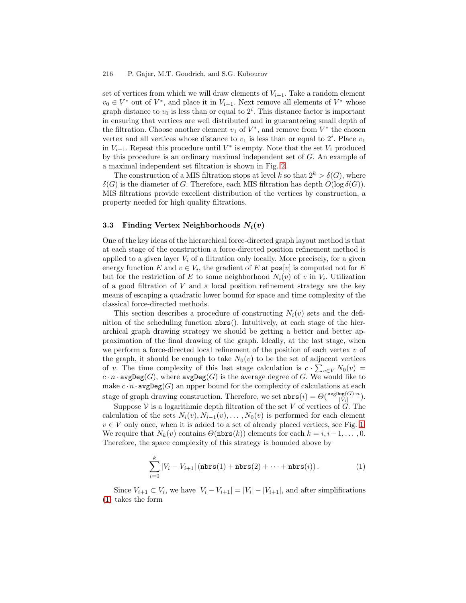<span id="page-5-0"></span>set of vertices from which we will draw elements of  $V_{i+1}$ . Take a random element  $v_0 \in V^*$  out of  $V^*$ , and place it in  $V_{i+1}$ . Next remove all elements of  $V^*$  whose graph distance to  $v_0$  is less than or equal to  $2^i$ . This distance factor is important in ensuring that vertices are well distributed and in guaranteeing small depth of the filtration. Choose another element  $v_1$  of  $V^*$ , and remove from  $V^*$  the chosen vertex and all vertices whose distance to  $v_1$  is less than or equal to  $2^i$ . Place  $v_1$ in  $V_{i+1}$ . Repeat this procedure until  $V^*$  is empty. Note that the set  $V_1$  produced by this procedure is an ordinary maximal independent set of G. An example of a maximal independent set filtration is shown in Fig. [2.](#page-4-0)

The construction of a MIS filtration stops at level k so that  $2^k > \delta(G)$ , where  $\delta(G)$  is the diameter of G. Therefore, each MIS filtration has depth  $O(\log \delta(G))$ . MIS filtrations provide excellent distribution of the vertices by construction, a property needed for high quality filtrations.

#### **3.3 Finding Vertex Neighborhoods** *Ni***(***v***)**

One of the key ideas of the hierarchical force-directed graph layout method is that at each stage of the construction a force-directed position refinement method is applied to a given layer  $V_i$  of a filtration only locally. More precisely, for a given energy function E and  $v \in V_i$ , the gradient of E at  $\mathsf{pos}[v]$  is computed not for E but for the restriction of E to some neighborhood  $N_i(v)$  of v in  $V_i$ . Utilization of a good filtration of  $V$  and a local position refinement strategy are the key means of escaping a quadratic lower bound for space and time complexity of the classical force-directed methods.

This section describes a procedure of constructing  $N_i(v)$  sets and the definition of the scheduling function nbrs(). Intuitively, at each stage of the hierarchical graph drawing strategy we should be getting a better and better approximation of the final drawing of the graph. Ideally, at the last stage, when we perform a force-directed local refinement of the position of each vertex  $v$  of the graph, it should be enough to take  $N_0(v)$  to be the set of adjacent vertices of v. The time complexity of this last stage calculation is  $c \cdot \sum_{v \in V} N_0(v) =$  $c \cdot n \cdot \text{avgDeg}(G)$ , where  $\text{avgDeg}(G)$  is the average degree of G. We would like to make  $c \cdot n \cdot \text{avgDeg}(G)$  an upper bound for the complexity of calculations at each stage of graph drawing construction. Therefore, we set  $\texttt{nbrs}(i) = \Theta(\frac{\texttt{avgDeg}(\mathcal{G}) \cdot n}{|V_i|})$ .

Suppose V is a logarithmic depth filtration of the set V of vertices of  $G$ . The calculation of the sets  $N_i(v), N_{i-1}(v), \ldots, N_0(v)$  is performed for each element  $v \in V$  only once, when it is added to a set of already placed vertices, see Fig. [1.](#page-3-0) We require that  $N_k(v)$  contains  $\Theta(\texttt{nbrs}(k))$  elements for each  $k = i, i-1, \ldots, 0$ . Therefore, the space complexity of this strategy is bounded above by

$$
\sum_{i=0}^{k} |V_i - V_{i+1}| \left( \text{nbrs}(1) + \text{nbrs}(2) + \dots + \text{nbrs}(i) \right). \tag{1}
$$

Since  $V_{i+1} \subset V_i$ , we have  $|V_i - V_{i+1}| = |V_i| - |V_{i+1}|$ , and after simplifications (1) takes the form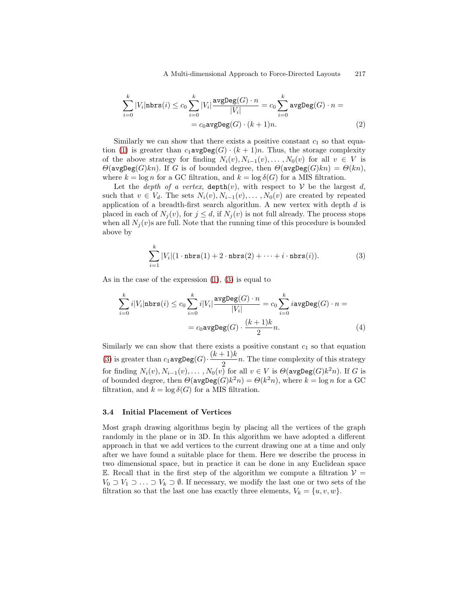<span id="page-6-0"></span>
$$
\sum_{i=0}^{k} |V_i| \text{nbrs}(i) \le c_0 \sum_{i=0}^{k} |V_i| \frac{\text{avgDeg}(G) \cdot n}{|V_i|} = c_0 \sum_{i=0}^{k} \text{avgDeg}(G) \cdot n =
$$
  
=  $c_0 \text{avgDeg}(G) \cdot (k+1)n.$  (2)

Similarly we can show that there exists a positive constant  $c_1$  so that equa-tion [\(1\)](#page-5-0) is greater than  $c_1$ **avgDeg**(G)  $\cdot$  (k + 1)n. Thus, the storage complexity of the above strategy for finding  $N_i(v), N_{i-1}(v), \ldots, N_0(v)$  for all  $v \in V$  is  $\Theta(\texttt{avgDeg}(G)kn)$ . If G is of bounded degree, then  $\Theta(\texttt{avgDeg}(G)kn) = \Theta(kn)$ , where  $k = \log n$  for a GC filtration, and  $k = \log \delta(G)$  for a MIS filtration.

Let the *depth of a vertex*,  $depth(v)$ , with respect to V be the largest d, such that  $v \in V_d$ . The sets  $N_i(v), N_{i-1}(v), \ldots, N_0(v)$  are created by repeated application of a breadth-first search algorithm. A new vertex with depth d is placed in each of  $N_i(v)$ , for  $j \leq d$ , if  $N_i(v)$  is not full already. The process stops when all  $N_j(v)$ s are full. Note that the running time of this procedure is bounded above by

$$
\sum_{i=1}^{k} |V_i| (1 \cdot \texttt{nbrs}(1) + 2 \cdot \texttt{nbrs}(2) + \dots + i \cdot \texttt{nbrs}(i)). \tag{3}
$$

As in the case of the expression [\(1\)](#page-5-0), (3) is equal to

$$
\sum_{i=0}^{k} i|V_i|\mathtt{nbrs}(i) \le c_0 \sum_{i=0}^{k} i|V_i| \frac{\text{avgDeg}(G) \cdot n}{|V_i|} = c_0 \sum_{i=0}^{k} i \text{avgDeg}(G) \cdot n =
$$

$$
= c_0 \text{avgDeg}(G) \cdot \frac{(k+1)k}{2}n.
$$
(4)

Similarly we can show that there exists a positive constant  $c_1$  so that equation (3) is greater than  $c_1$ **avgDeg** $(G) \cdot \frac{(k+1)k}{2}$  $\frac{1}{2}n$ . The time complexity of this strategy for finding  $N_i(v), N_{i-1}(v), \ldots, N_0(v)$  for all  $v \in V$  is  $\Theta(\texttt{avgDeg}(G)k^2n)$ . If G is of bounded degree, then  $\Theta(\text{avgDeg}(G)k^2n) = \Theta(k^2n)$ , where  $k = \log n$  for a GC filtration, and  $k = \log \delta(G)$  for a MIS filtration.

#### **3.4 Initial Placement of Vertices**

Most graph drawing algorithms begin by placing all the vertices of the graph randomly in the plane or in 3D. In this algorithm we have adopted a different approach in that we add vertices to the current drawing one at a time and only after we have found a suitable place for them. Here we describe the process in two dimensional space, but in practice it can be done in any Euclidean space E. Recall that in the first step of the algorithm we compute a filtration  $V =$  $V_0 \supset V_1 \supset \ldots \supset V_k \supset \emptyset$ . If necessary, we modify the last one or two sets of the filtration so that the last one has exactly three elements,  $V_k = \{u, v, w\}.$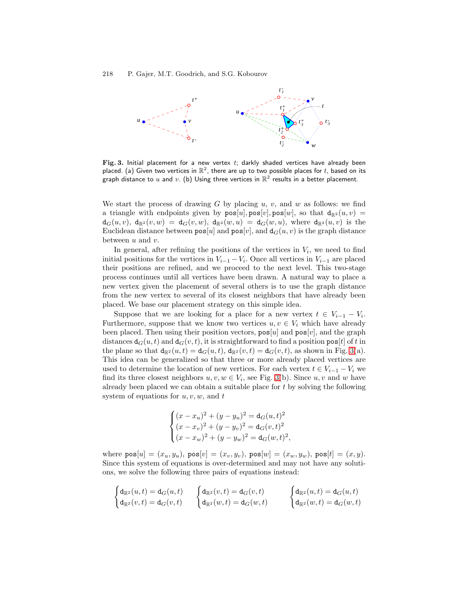<span id="page-7-0"></span>

Fig. 3. Initial placement for a new vertex  $t$ ; darkly shaded vertices have already been placed. (a) Given two vertices in  $\mathbb{R}^2$ , there are up to two possible places for t, based on its graph distance to u and v. (b) Using three vertices in  $\mathbb{R}^2$  results in a better placement.

We start the process of drawing G by placing  $u, v$ , and  $w$  as follows: we find a triangle with endpoints given by  $pos[u], pos[v], pos[w]$ , so that  $d_{\mathbb{R}^2}(u, v) =$  $d_G(u, v)$ ,  $d_{\mathbb{R}^2}(v, w) = d_G(v, w)$ ,  $d_{\mathbb{R}^2}(w, u) = d_G(w, u)$ , where  $d_{\mathbb{R}^2}(u, v)$  is the Euclidean distance between  $pos[u]$  and  $pos[v]$ , and  $d_G(u, v)$  is the graph distance between  $u$  and  $v$ .

In general, after refining the positions of the vertices in  $V_i$ , we need to find initial positions for the vertices in  $V_{i-1} - V_i$ . Once all vertices in  $V_{i-1}$  are placed their positions are refined, and we proceed to the next level. This two-stage process continues until all vertices have been drawn. A natural way to place a new vertex given the placement of several others is to use the graph distance from the new vertex to several of its closest neighbors that have already been placed. We base our placement strategy on this simple idea.

Suppose that we are looking for a place for a new vertex  $t \in V_{i-1} - V_i$ . Furthermore, suppose that we know two vertices  $u, v \in V_i$  which have already been placed. Then using their position vectors,  $\cos[u]$  and  $\cos[v]$ , and the graph distances  $d_G(u, t)$  and  $d_G(v, t)$ , it is straightforward to find a position pos[t] of t in the plane so that  $d_{\mathbb{R}^2}(u, t) = d_G(u, t)$ ,  $d_{\mathbb{R}^2}(v, t) = d_G(v, t)$ , as shown in Fig. 3(a). This idea can be generalized so that three or more already placed vertices are used to determine the location of new vertices. For each vertex  $t \in V_{i-1} - V_i$  we find its three closest neighbors  $u, v, w \in V_i$ , see Fig. 3(b). Since  $u, v$  and w have already been placed we can obtain a suitable place for t by solving the following system of equations for  $u, v, w$ , and  $t$ 

$$
\begin{cases} (x - x_u)^2 + (y - y_u)^2 = \mathbf{d}_G(u, t)^2\\ (x - x_v)^2 + (y - y_v)^2 = \mathbf{d}_G(v, t)^2\\ (x - x_w)^2 + (y - y_w)^2 = \mathbf{d}_G(w, t)^2, \end{cases}
$$

where  $pos[u]=(x_u, y_u)$ ,  $pos[v]=(x_v, y_v)$ ,  $pos[w]=(x_w, y_w)$ ,  $pos[t]=(x, y)$ . Since this system of equations is over-determined and may not have any solutions, we solve the following three pairs of equations instead:

$$
\begin{cases} \mathrm{d}_{\mathbb{R}^2}(u,t) = \mathrm{d}_G(u,t) \\ \mathrm{d}_{\mathbb{R}^2}(v,t) = \mathrm{d}_G(v,t) \end{cases} \quad \begin{cases} \mathrm{d}_{\mathbb{R}^2}(v,t) = \mathrm{d}_G(v,t) \\ \mathrm{d}_{\mathbb{R}^2}(w,t) = \mathrm{d}_G(w,t) \end{cases} \quad \begin{cases} \mathrm{d}_{\mathbb{R}^2}(u,t) = \mathrm{d}_G(u,t) \\ \mathrm{d}_{\mathbb{R}^2}(w,t) = \mathrm{d}_G(w,t) \end{cases}
$$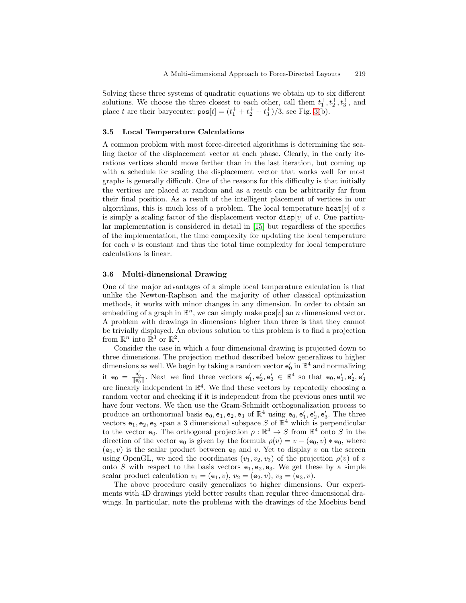<span id="page-8-0"></span>Solving these three systems of quadratic equations we obtain up to six different solutions. We choose the three closest to each other, call them  $t_1^+, t_2^+, t_3^+,$  and place t are their barycenter:  $pos[t] = (t_1^+ + t_2^+ + t_3^+)/3$ , see Fig. [3\(](#page-7-0)b).

#### **3.5 Local Temperature Calculations**

A common problem with most force-directed algorithms is determining the scaling factor of the displacement vector at each phase. Clearly, in the early iterations vertices should move farther than in the last iteration, but coming up with a schedule for scaling the displacement vector that works well for most graphs is generally difficult. One of the reasons for this difficulty is that initially the vertices are placed at random and as a result can be arbitrarily far from their final position. As a result of the intelligent placement of vertices in our algorithms, this is much less of a problem. The local temperature heat  $[v]$  of v is simply a scaling factor of the displacement vector  $\text{disp}[v]$  of v. One particular implementation is considered in detail in [\[15\]](#page-10-0) but regardless of the specifics of the implementation, the time complexity for updating the local temperature for each  $v$  is constant and thus the total time complexity for local temperature calculations is linear.

#### **3.6 Multi-dimensional Drawing**

One of the major advantages of a simple local temperature calculation is that unlike the Newton-Raphson and the majority of other classical optimization methods, it works with minor changes in any dimension. In order to obtain an embedding of a graph in  $\mathbb{R}^n$ , we can simply make  $\mathsf{pos}[v]$  an n dimensional vector. A problem with drawings in dimensions higher than three is that they cannot be trivially displayed. An obvious solution to this problem is to find a projection from  $\mathbb{R}^n$  into  $\mathbb{R}^3$  or  $\mathbb{R}^2$ .

Consider the case in which a four dimensional drawing is projected down to three dimensions. The projection method described below generalizes to higher dimensions as well. We begin by taking a random vector  $\mathbf{e}'_0$  in  $\mathbb{R}^4$  and normalizing it  $e_0 = \frac{e_0'}{\|\mathbf{e}_0'\|}$ . Next we find three vectors  $\mathbf{e}'_1, \mathbf{e}'_2, \mathbf{e}'_3 \in \mathbb{R}^4$  so that  $\mathbf{e}_0, \mathbf{e}'_1, \mathbf{e}'_2, \mathbf{e}'_3$ are linearly independent in  $\mathbb{R}^4$ . We find these vectors by repeatedly choosing a random vector and checking if it is independent from the previous ones until we have four vectors. We then use the Gram-Schmidt orthogonalization process to produce an orthonormal basis  $e_0, e_1, e_2, e_3$  of  $\mathbb{R}^4$  using  $e_0, e'_1, e'_2, e'_3$ . The three vectors  $e_1, e_2, e_3$  span a 3 dimensional subspace S of  $\mathbb{R}^4$  which is perpendicular to the vector  $e_0$ . The orthogonal projection  $\rho : \mathbb{R}^4 \to S$  from  $\mathbb{R}^4$  onto S in the direction of the vector  $e_0$  is given by the formula  $\rho(v) = v - (e_0, v) * e_0$ , where  $(e_0, v)$  is the scalar product between  $e_0$  and v. Yet to display v on the screen using OpenGL, we need the coordinates  $(v_1, v_2, v_3)$  of the projection  $\rho(v)$  of v onto S with respect to the basis vectors  $e_1, e_2, e_3$ . We get these by a simple scalar product calculation  $v_1 = (e_1, v), v_2 = (e_2, v), v_3 = (e_3, v).$ 

The above procedure easily generalizes to higher dimensions. Our experiments with 4D drawings yield better results than regular three dimensional drawings. In particular, note the problems with the drawings of the Moebius bend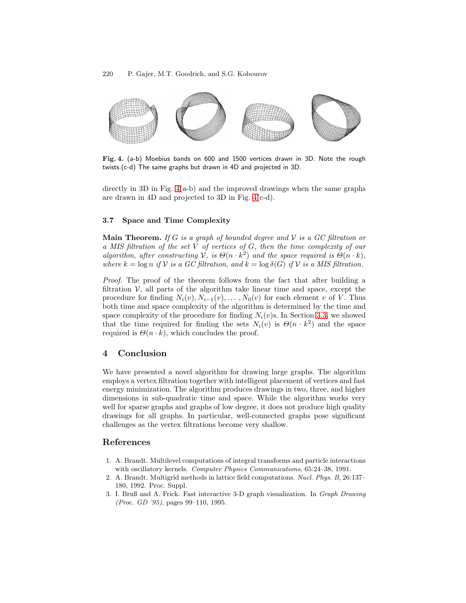<span id="page-9-0"></span>

**Fig. 4.** (a-b) Moebius bands on 600 and 1500 vertices drawn in 3D. Note the rough twists.(c-d) The same graphs but drawn in 4D and projected in 3D.

directly in 3D in Fig.  $4(a-b)$  and the improved drawings when the same graphs are drawn in 4D and projected to 3D in Fig. 4(c-d).

## **3.7 Space and Time Complexity**

**Main Theorem.** If G is a graph of bounded degree and  $V$  is a GC filtration or a MIS filtration of the set V of vertices of G, then the time complexity of our algorithm, after constructing V, is  $\Theta(n \cdot k^2)$  and the space required is  $\Theta(n \cdot k)$ , where  $k = \log n$  if V is a GC filtration, and  $k = \log \delta(G)$  if V is a MIS filtration.

Proof. The proof of the theorem follows from the fact that after building a filtration  $\mathcal{V}$ , all parts of the algorithm take linear time and space, except the procedure for finding  $N_i(v)$ ,  $N_{i-1}(v)$ ,...,  $N_0(v)$  for each element v of V. Thus both time and space complexity of the algorithm is determined by the time and space complexity of the procedure for finding  $N_i(v)$ s. In Section [3.3,](#page-5-0) we showed that the time required for finding the sets  $N_i(v)$  is  $\Theta(n \cdot k^2)$  and the space required is  $\Theta(n \cdot k)$ , which concludes the proof.

# **4 Conclusion**

We have presented a novel algorithm for drawing large graphs. The algorithm employs a vertex filtration together with intelligent placement of vertices and fast energy minimization. The algorithm produces drawings in two, three, and higher dimensions in sub-quadratic time and space. While the algorithm works very well for sparse graphs and graphs of low degree, it does not produce high quality drawings for all graphs. In particular, well-connected graphs pose significant challenges as the vertex filtrations become very shallow.

# **References**

- 1. A. Brandt. Multilevel computations of integral transforms and particle interactions with oscillatory kernels. Computer Physics Communications, 65:24-38, 1991.
- 2. A. Brandt. Multigrid methods in lattice field computations. Nucl. Phys. B, 26:137– 180, 1992. Proc. Suppl.
- 3. I. Bruß and A. Frick. Fast interactive 3-D graph visualization. In Graph Drawing (Proc. GD '95), pages 99–110, 1995.